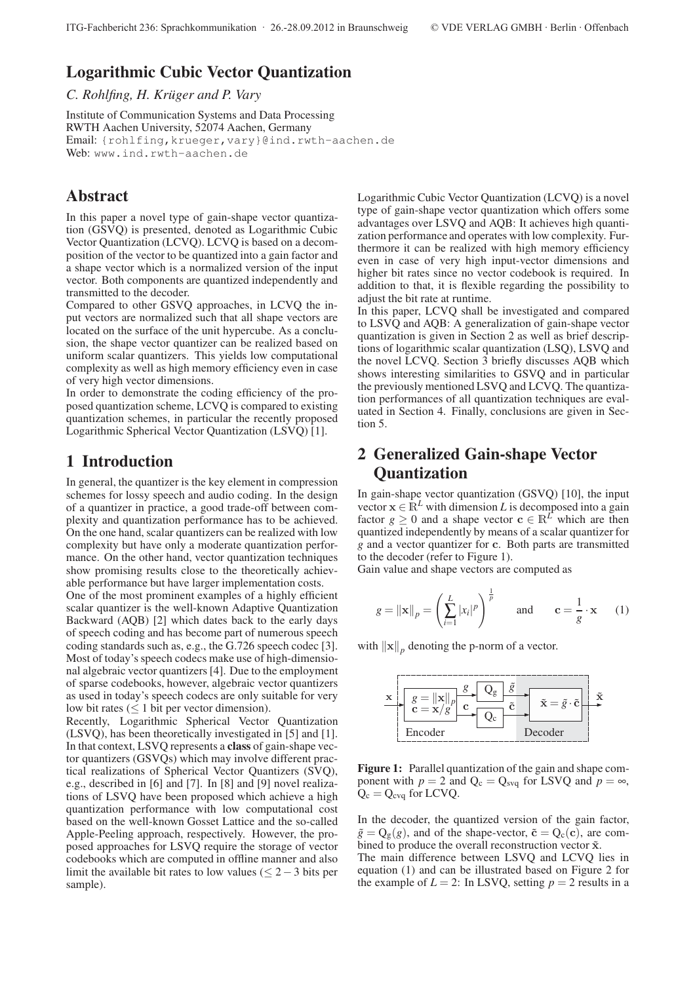# **Logarithmic Cubic Vector Quantization**

*C. Rohlfing, H. Krüger and P. Vary*

Institute of Communication Systems and Data Processing RWTH Aachen University, 52074 Aachen, Germany Email: {rohlfing,krueger,vary}@ind.rwth-aachen.de Web: www.ind.rwth-aachen.de

## **Abstract**

In this paper a novel type of gain-shape vector quantization (GSVQ) is presented, denoted as Logarithmic Cubic Vector Quantization (LCVQ). LCVQ is based on a decomposition of the vector to be quantized into a gain factor and a shape vector which is a normalized version of the input vector. Both components are quantized independently and transmitted to the decoder.

Compared to other GSVQ approaches, in LCVQ the input vectors are normalized such that all shape vectors are located on the surface of the unit hypercube. As a conclusion, the shape vector quantizer can be realized based on uniform scalar quantizers. This yields low computational complexity as well as high memory efficiency even in case of very high vector dimensions.

In order to demonstrate the coding efficiency of the proposed quantization scheme, LCVQ is compared to existing quantization schemes, in particular the recently proposed Logarithmic Spherical Vector Quantization (LSVQ) [1].

## **1 Introduction**

In general, the quantizer is the key element in compression schemes for lossy speech and audio coding. In the design of a quantizer in practice, a good trade-off between complexity and quantization performance has to be achieved. On the one hand, scalar quantizers can be realized with low complexity but have only a moderate quantization performance. On the other hand, vector quantization techniques show promising results close to the theoretically achievable performance but have larger implementation costs.

One of the most prominent examples of a highly efficient scalar quantizer is the well-known Adaptive Quantization Backward (AQB) [2] which dates back to the early days of speech coding and has become part of numerous speech coding standards such as, e.g., the G.726 speech codec [3]. Most of today's speech codecs make use of high-dimensional algebraic vector quantizers [4]. Due to the employment of sparse codebooks, however, algebraic vector quantizers as used in today's speech codecs are only suitable for very low bit rates ( $\leq 1$  bit per vector dimension).

Recently, Logarithmic Spherical Vector Quantization (LSVQ), has been theoretically investigated in [5] and [1]. In that context, LSVQ represents a **class** of gain-shape vector quantizers (GSVQs) which may involve different practical realizations of Spherical Vector Quantizers (SVQ), e.g., described in [6] and [7]. In [8] and [9] novel realizations of LSVQ have been proposed which achieve a high quantization performance with low computational cost based on the well-known Gosset Lattice and the so-called Apple-Peeling approach, respectively. However, the proposed approaches for LSVQ require the storage of vector codebooks which are computed in offline manner and also limit the available bit rates to low values ( $\leq$  2 – 3 bits per sample).

Logarithmic Cubic Vector Quantization (LCVQ) is a novel type of gain-shape vector quantization which offers some advantages over LSVQ and AQB: It achieves high quantization performance and operates with low complexity. Furthermore it can be realized with high memory efficiency even in case of very high input-vector dimensions and higher bit rates since no vector codebook is required. In addition to that, it is flexible regarding the possibility to adjust the bit rate at runtime.

In this paper, LCVQ shall be investigated and compared to LSVQ and AQB: A generalization of gain-shape vector quantization is given in Section 2 as well as brief descriptions of logarithmic scalar quantization (LSQ), LSVQ and the novel LCVQ. Section 3 briefly discusses AQB which shows interesting similarities to GSVQ and in particular the previously mentioned LSVQ and LCVQ. The quantization performances of all quantization techniques are evaluated in Section 4. Finally, conclusions are given in Section 5.

# **2 Generalized Gain-shape Vector Quantization**

In gain-shape vector quantization (GSVQ) [10], the input vector  $\mathbf{x} \in \mathbb{R}^L$  with dimension *L* is decomposed into a gain factor  $g \ge 0$  and a shape vector  $c \in \mathbb{R}^L$  which are then quantized independently by means of a scalar quantizer for *g* and a vector quantizer for **c**. Both parts are transmitted to the decoder (refer to Figure 1).

Gain value and shape vectors are computed as

$$
g = ||\mathbf{x}||_p = \left(\sum_{i=1}^L |x_i|^p\right)^{\frac{1}{p}} \quad \text{and} \quad \mathbf{c} = \frac{1}{g} \cdot \mathbf{x} \quad (1)
$$

with  $\|\mathbf{x}\|_p$  denoting the p-norm of a vector.



**Figure 1:** Parallel quantization of the gain and shape component with  $p = 2$  and  $Q_c = Q_{s\nu q}$  for LSVQ and  $p = \infty$ ,  $Q_c = Q_{c\nu q}$  for LCVQ.

In the decoder, the quantized version of the gain factor,  $\tilde{g} = Q_g(g)$ , and of the shape-vector,  $\tilde{c} = Q_c(c)$ , are combined to produce the overall reconstruction vector ˜**x**.

The main difference between LSVQ and LCVQ lies in equation (1) and can be illustrated based on Figure 2 for the example of  $L = 2$ : In LSVQ, setting  $p = 2$  results in a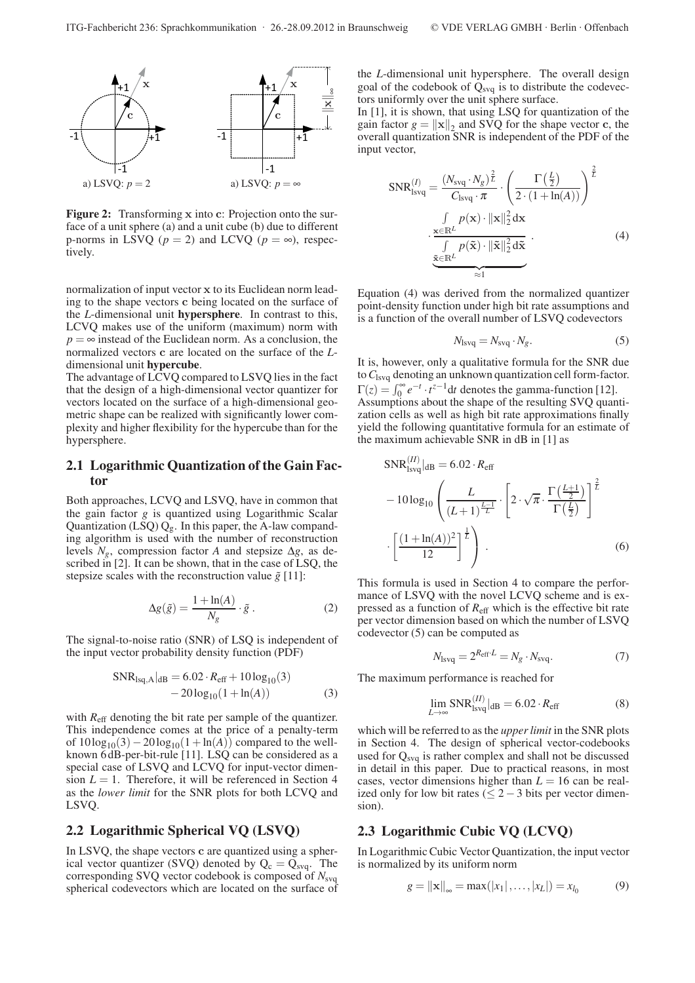

**Figure 2:** Transforming **x** into **c**: Projection onto the surface of a unit sphere (a) and a unit cube (b) due to different p-norms in LSVQ ( $p = 2$ ) and LCVQ ( $p = \infty$ ), respectively.

normalization of input vector **x** to its Euclidean norm leading to the shape vectors **c** being located on the surface of the *L*-dimensional unit **hypersphere**. In contrast to this, LCVQ makes use of the uniform (maximum) norm with  $p = \infty$  instead of the Euclidean norm. As a conclusion, the normalized vectors **c** are located on the surface of the *L*dimensional unit **hypercube**.

The advantage of LCVQ compared to LSVQ lies in the fact that the design of a high-dimensional vector quantizer for vectors located on the surface of a high-dimensional geometric shape can be realized with significantly lower complexity and higher flexibility for the hypercube than for the hypersphere.

#### **2.1 Logarithmic Quantization of the Gain Factor**

Both approaches, LCVQ and LSVQ, have in common that the gain factor *g* is quantized using Logarithmic Scalar Quantization (LSQ)  $Q_g$ . In this paper, the A-law companding algorithm is used with the number of reconstruction levels  $N_g$ , compression factor *A* and stepsize  $\Delta g$ , as described in [2]. It can be shown, that in the case of LSQ, the stepsize scales with the reconstruction value  $\tilde{g}$  [11]:

$$
\Delta g(\tilde{g}) = \frac{1 + \ln(A)}{N_g} \cdot \tilde{g} \,. \tag{2}
$$

The signal-to-noise ratio (SNR) of LSQ is independent of the input vector probability density function (PDF)

$$
SNRlsq,A|dB = 6.02 \cdot Reff + 10 log10(3)
$$
  
- 20 log<sub>10</sub>(1 + ln(A)) (3)

with *R*<sub>eff</sub> denoting the bit rate per sample of the quantizer. This independence comes at the price of a penalty-term of  $10\log_{10}(3)-20\log_{10}(1+\ln(A))$  compared to the wellknown 6 dB-per-bit-rule [11]. LSQ can be considered as a special case of LSVQ and LCVQ for input-vector dimension  $L = 1$ . Therefore, it will be referenced in Section 4 as the *lower limit* for the SNR plots for both LCVQ and LSVQ.

#### **2.2 Logarithmic Spherical VQ (LSVQ)**

In LSVQ, the shape vectors **c** are quantized using a spherical vector quantizer (SVQ) denoted by  $Q_c = Q_{svg}$ . The corresponding SVQ vector codebook is composed of  $N_{\text{svq}}$ spherical codevectors which are located on the surface of

the *L*-dimensional unit hypersphere. The overall design goal of the codebook of  $Q_{sva}$  is to distribute the codevectors uniformly over the unit sphere surface.

In [1], it is shown, that using LSQ for quantization of the gain factor  $g = ||\mathbf{x}||_2$  and SVQ for the shape vector **c**, the overall quantization SNR is independent of the PDF of the input vector,

$$
SNR_{lsvq}^{(I)} = \frac{(N_{svq} \cdot N_g)^{\frac{2}{L}}}{C_{lsvq} \cdot \pi} \cdot \left(\frac{\Gamma(\frac{L}{2})}{2 \cdot (1 + \ln(A))}\right)^{\frac{2}{L}}
$$

$$
\frac{\int_{\mathbf{x} \in \mathbb{R}^L} p(\mathbf{x}) \cdot ||\mathbf{x}||_2^2 d\mathbf{x}}{\int_{\mathbf{x} \in \mathbb{R}^L} p(\tilde{\mathbf{x}}) \cdot ||\tilde{\mathbf{x}}||_2^2 d\tilde{\mathbf{x}}} \tag{4}
$$

Equation (4) was derived from the normalized quantizer point-density function under high bit rate assumptions and is a function of the overall number of LSVQ codevectors

$$
N_{\text{lsvq}} = N_{\text{svq}} \cdot N_g. \tag{5}
$$

It is, however, only a qualitative formula for the SNR due to*C*lsvq denoting an unknown quantization cell form-factor.  $\Gamma(z) = \int_0^\infty e^{-t} \cdot t^{z-1} dt$  denotes the gamma-function [12]. Assumptions about the shape of the resulting SVQ quantization cells as well as high bit rate approximations finally yield the following quantitative formula for an estimate of the maximum achievable SNR in dB in [1] as

$$
SNR_{\text{lsvq}}^{(II)}|_{\text{dB}} = 6.02 \cdot R_{\text{eff}}
$$
  
-  $10 \log_{10} \left( \frac{L}{(L+1)^{\frac{L-1}{L}}} \cdot \left[ 2 \cdot \sqrt{\pi} \cdot \frac{\Gamma(\frac{L+1}{2})}{\Gamma(\frac{L}{2})} \right]^{\frac{2}{L}} \right]$   
 $\cdot \left[ \frac{(1 + \ln(A))^2}{12} \right]^{\frac{1}{L}} \right)$ . (6)

This formula is used in Section 4 to compare the performance of LSVQ with the novel LCVQ scheme and is expressed as a function of *R*eff which is the effective bit rate per vector dimension based on which the number of LSVQ codevector (5) can be computed as

$$
N_{\text{lsvq}} = 2^{R_{\text{eff}} \cdot L} = N_g \cdot N_{\text{svq}}.\tag{7}
$$

The maximum performance is reached for

$$
\lim_{L \to \infty} \text{SNR}_{\text{isvq}}^{(II)}|_{\text{dB}} = 6.02 \cdot R_{\text{eff}} \tag{8}
$$

which will be referred to as the *upper limit* in the SNR plots in Section 4. The design of spherical vector-codebooks used for  $Q_{\text{svq}}$  is rather complex and shall not be discussed in detail in this paper. Due to practical reasons, in most cases, vector dimensions higher than  $L = 16$  can be realized only for low bit rates ( $\leq$  2 – 3 bits per vector dimension).

#### **2.3 Logarithmic Cubic VQ (LCVQ)**

In Logarithmic Cubic Vector Quantization, the input vector is normalized by its uniform norm

$$
g = ||\mathbf{x}||_{\infty} = \max(|x_1|, \dots, |x_L|) = x_{l_0}
$$
 (9)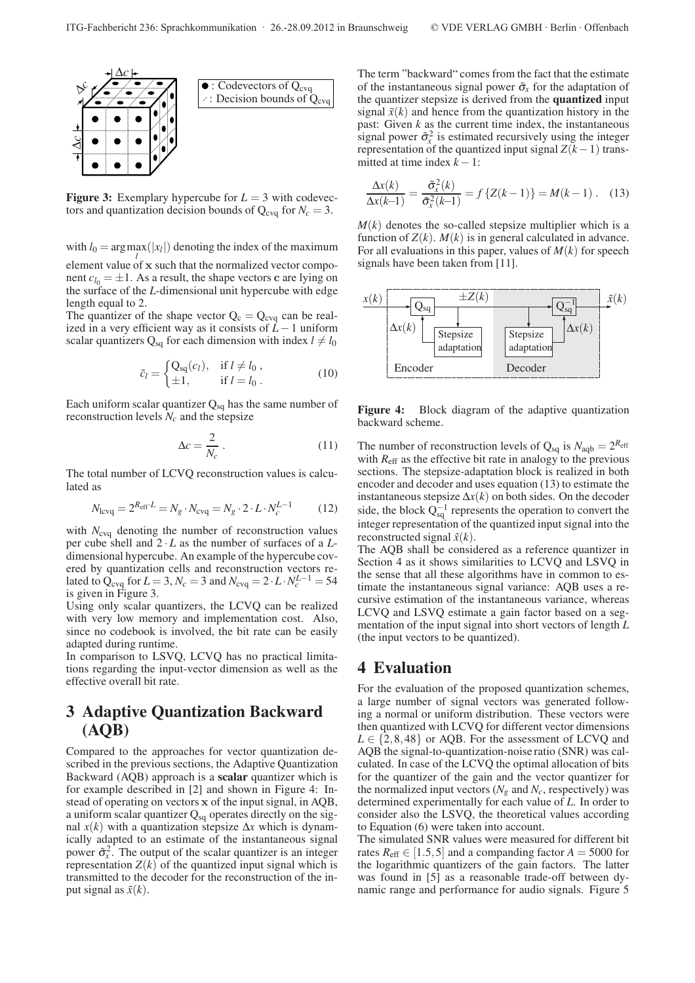

**Figure 3:** Exemplary hypercube for  $L = 3$  with codevectors and quantization decision bounds of  $Q_{\text{cva}}$  for  $N_c = 3$ .

with  $l_0 = \arg \max(|x_l|)$  denoting the index of the maximum element value of **x** such that the normalized vector compo-

nent  $c_{l_0} = \pm 1$ . As a result, the shape vectors **c** are lying on the surface of the *L*-dimensional unit hypercube with edge length equal to 2.

The quantizer of the shape vector  $Q_c = Q_{c\nu q}$  can be realized in a very efficient way as it consists of *L*−1 uniform scalar quantizers  $Q_{sq}$  for each dimension with index  $l \neq l_0$ 

$$
\tilde{c}_l = \begin{cases} Q_{\text{sq}}(c_l), & \text{if } l \neq l_0, \\ \pm 1, & \text{if } l = l_0. \end{cases}
$$
\n(10)

Each uniform scalar quantizer  $Q_{sq}$  has the same number of reconstruction levels  $N_c$  and the stepsize

$$
\Delta c = \frac{2}{N_c} \,. \tag{11}
$$

The total number of LCVQ reconstruction values is calculated as

$$
N_{\text{levq}} = 2^{R_{\text{eff}} \cdot L} = N_g \cdot N_{\text{evq}} = N_g \cdot 2 \cdot L \cdot N_c^{L-1} \tag{12}
$$

with  $N_{\text{cvq}}$  denoting the number of reconstruction values per cube shell and  $2 \cdot L$  as the number of surfaces of a  $L$ dimensional hypercube. An example of the hypercube covered by quantization cells and reconstruction vectors related to  $\overline{Q}_{\text{cvq}}$  for  $L = 3$ ,  $N_c = 3$  and  $N_{\text{cvq}} = 2 \cdot L \cdot N_c^{L-1} = 54$ is given in Figure 3.

Using only scalar quantizers, the LCVQ can be realized with very low memory and implementation cost. Also, since no codebook is involved, the bit rate can be easily adapted during runtime.

In comparison to LSVQ, LCVQ has no practical limitations regarding the input-vector dimension as well as the effective overall bit rate.

# **3 Adaptive Quantization Backward (AQB)**

Compared to the approaches for vector quantization described in the previous sections, the Adaptive Quantization Backward (AQB) approach is a **scalar** quantizer which is for example described in [2] and shown in Figure 4: Instead of operating on vectors **x** of the input signal, in AQB, a uniform scalar quantizer  $Q_{sq}$  operates directly on the signal  $x(k)$  with a quantization stepsize  $\Delta x$  which is dynamically adapted to an estimate of the instantaneous signal power  $\tilde{\sigma}_x^2$ . The output of the scalar quantizer is an integer representation  $Z(k)$  of the quantized input signal which is transmitted to the decoder for the reconstruction of the input signal as  $\tilde{x}(k)$ .

The term "backward" comes from the fact that the estimate of the instantaneous signal power  $\tilde{\sigma}_r$  for the adaptation of the quantizer stepsize is derived from the **quantized** input signal  $\tilde{x}(k)$  and hence from the quantization history in the past: Given *k* as the current time index, the instantaneous signal power  $\tilde{\sigma}_x^2$  is estimated recursively using the integer representation of the quantized input signal  $Z(k-1)$  transmitted at time index  $k - 1$ :

$$
\frac{\Delta x(k)}{\Delta x(k-1)} = \frac{\tilde{\sigma}_x^2(k)}{\tilde{\sigma}_x^2(k-1)} = f\left\{Z(k-1)\right\} = M(k-1). \quad (13)
$$

 $M(k)$  denotes the so-called stepsize multiplier which is a function of  $Z(k)$ .  $M(k)$  is in general calculated in advance. For all evaluations in this paper, values of *M*(*k*) for speech signals have been taken from [11].



**Figure 4:** Block diagram of the adaptive quantization backward scheme.

The number of reconstruction levels of  $Q_{sq}$  is  $N_{aqb} = 2^{R_{eff}}$ with  $R_{\text{eff}}$  as the effective bit rate in analogy to the previous sections. The stepsize-adaptation block is realized in both encoder and decoder and uses equation (13) to estimate the instantaneous stepsize  $\Delta x(k)$  on both sides. On the decoder side, the block  $Q_{sq}^{-1}$  represents the operation to convert the integer representation of the quantized input signal into the reconstructed signal  $\tilde{x}(k)$ .

The AQB shall be considered as a reference quantizer in Section 4 as it shows similarities to LCVQ and LSVQ in the sense that all these algorithms have in common to estimate the instantaneous signal variance: AQB uses a recursive estimation of the instantaneous variance, whereas LCVQ and LSVQ estimate a gain factor based on a segmentation of the input signal into short vectors of length *L* (the input vectors to be quantized).

## **4 Evaluation**

For the evaluation of the proposed quantization schemes, a large number of signal vectors was generated following a normal or uniform distribution. These vectors were then quantized with LCVQ for different vector dimensions  $L \in \{2, 8, 48\}$  or AQB. For the assessment of LCVQ and AQB the signal-to-quantization-noise ratio (SNR) was calculated. In case of the LCVQ the optimal allocation of bits for the quantizer of the gain and the vector quantizer for the normalized input vectors  $(N_e \text{ and } N_c \text{, respectively})$  was determined experimentally for each value of *L*. In order to consider also the LSVQ, the theoretical values according to Equation (6) were taken into account.

The simulated SNR values were measured for different bit rates  $R_{\text{eff}} \in [1.5, 5]$  and a companding factor  $A = 5000$  for the logarithmic quantizers of the gain factors. The latter was found in [5] as a reasonable trade-off between dynamic range and performance for audio signals. Figure 5